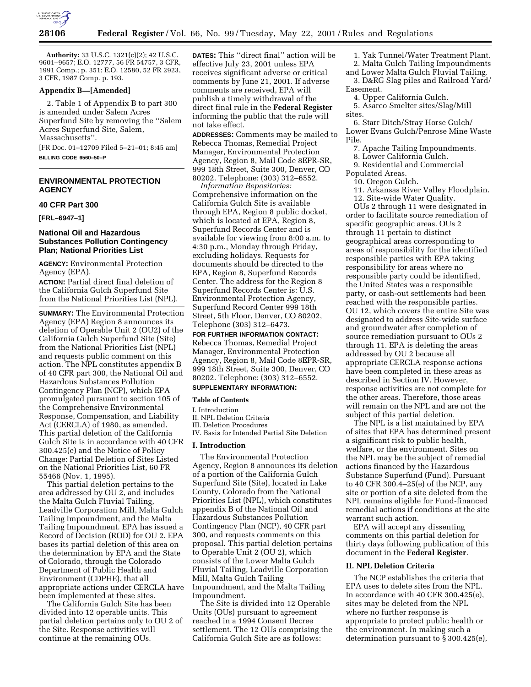

**Authority:** 33 U.S.C. 1321(c)(2); 42 U.S.C. 9601–9657; E.O. 12777, 56 FR 54757, 3 CFR, 1991 Comp.; p. 351; E.O. 12580, 52 FR 2923, 3 CFR, 1987 Comp. p. 193.

## **Appendix B—[Amended]**

2. Table 1 of Appendix B to part 300 is amended under Salem Acres Superfund Site by removing the ''Salem Acres Superfund Site, Salem, Massachusetts''.

[FR Doc. 01–12709 Filed 5–21–01; 8:45 am] **BILLING CODE 6560–50–P**

# **ENVIRONMENTAL PROTECTION AGENCY**

## **40 CFR Part 300**

**[FRL–6947–1]**

## **National Oil and Hazardous Substances Pollution Contingency Plan; National Priorities List**

**AGENCY:** Environmental Protection Agency (EPA).

**ACTION:** Partial direct final deletion of the California Gulch Superfund Site from the National Priorities List (NPL).

**SUMMARY:** The Environmental Protection Agency (EPA) Region 8 announces its deletion of Operable Unit 2 (OU2) of the California Gulch Superfund Site (Site) from the National Priorities List (NPL) and requests public comment on this action. The NPL constitutes appendix B of 40 CFR part 300, the National Oil and Hazardous Substances Pollution Contingency Plan (NCP), which EPA promulgated pursuant to section 105 of the Comprehensive Environmental Response, Compensation, and Liability Act (CERCLA) of 1980, as amended. This partial deletion of the California Gulch Site is in accordance with 40 CFR 300.425(e) and the Notice of Policy Change: Partial Deletion of Sites Listed on the National Priorities List, 60 FR 55466 (Nov. 1, 1995).

This partial deletion pertains to the area addressed by OU 2, and includes the Malta Gulch Fluvial Tailing, Leadville Corporation Mill, Malta Gulch Tailing Impoundment, and the Malta Tailing Impoundment. EPA has issued a Record of Decision (ROD) for OU 2. EPA bases its partial deletion of this area on the determination by EPA and the State of Colorado, through the Colorado Department of Public Health and Environment (CDPHE), that all appropriate actions under CERCLA have been implemented at these sites.

The California Gulch Site has been divided into 12 operable units. This partial deletion pertains only to OU 2 of the Site. Response activities will continue at the remaining OUs.

**DATES:** This ''direct final'' action will be effective July 23, 2001 unless EPA receives significant adverse or critical comments by June 21, 2001. If adverse comments are received, EPA will publish a timely withdrawal of the direct final rule in the **Federal Register** informing the public that the rule will not take effect.

**ADDRESSES:** Comments may be mailed to Rebecca Thomas, Remedial Project Manager, Environmental Protection Agency, Region 8, Mail Code 8EPR-SR, 999 18th Street, Suite 300, Denver, CO 80202. Telephone: (303) 312–6552.

*Information Repositories:* Comprehensive information on the California Gulch Site is available through EPA, Region 8 public docket, which is located at EPA, Region 8, Superfund Records Center and is available for viewing from 8:00 a.m. to 4:30 p.m., Monday through Friday, excluding holidays. Requests for documents should be directed to the EPA, Region 8, Superfund Records Center. The address for the Region 8 Superfund Records Center is: U.S. Environmental Protection Agency, Superfund Record Center 999 18th Street, 5th Floor, Denver, CO 80202, Telephone (303) 312–6473.

**FOR FURTHER INFORMATION CONTACT:** Rebecca Thomas, Remedial Project Manager, Environmental Protection Agency, Region 8, Mail Code 8EPR-SR, 999 18th Street, Suite 300, Denver, CO 80202. Telephone: (303) 312–6552. **SUPPLEMENTARY INFORMATION:**

# **Table of Contents**

I. Introduction

- II. NPL Deletion Criteria
- III. Deletion Procedures
- IV. Basis for Intended Partial Site Deletion

#### **I. Introduction**

The Environmental Protection Agency, Region 8 announces its deletion of a portion of the California Gulch Superfund Site (Site), located in Lake County, Colorado from the National Priorities List (NPL), which constitutes appendix B of the National Oil and Hazardous Substances Pollution Contingency Plan (NCP), 40 CFR part 300, and requests comments on this proposal. This partial deletion pertains to Operable Unit 2 (OU 2), which consists of the Lower Malta Gulch Fluvial Tailing, Leadville Corporation Mill, Malta Gulch Tailing Impoundment, and the Malta Tailing Impoundment.

The Site is divided into 12 Operable Units (OUs) pursuant to agreement reached in a 1994 Consent Decree settlement. The 12 OUs comprising the California Gulch Site are as follows:

- 1. Yak Tunnel/Water Treatment Plant. 2. Malta Gulch Tailing Impoundments
- and Lower Malta Gulch Fluvial Tailing.
- 3. D&RG Slag piles and Railroad Yard/ Easement.
	- 4. Upper California Gulch.

5. Asarco Smelter sites/Slag/Mill sites.

6. Starr Ditch/Stray Horse Gulch/ Lower Evans Gulch/Penrose Mine Waste Pile.

7. Apache Tailing Impoundments.

8. Lower California Gulch.

9. Residential and Commercial

Populated Areas.

10. Oregon Gulch.

11. Arkansas River Valley Floodplain.

12. Site-wide Water Quality.

OUs 2 through 11 were designated in order to facilitate source remediation of specific geographic areas. OUs 2 through 11 pertain to distinct geographical areas corresponding to areas of responsibility for the identified responsible parties with EPA taking responsibility for areas where no responsible party could be identified, the United States was a responsible party, or cash-out settlements had been reached with the responsible parties. OU 12, which covers the entire Site was designated to address Site-wide surface and groundwater after completion of source remediation pursuant to OUs 2 through 11. EPA is deleting the areas addressed by OU 2 because all appropriate CERCLA response actions have been completed in these areas as described in Section IV. However, response activities are not complete for the other areas. Therefore, those areas will remain on the NPL and are not the subject of this partial deletion.

The NPL is a list maintained by EPA of sites that EPA has determined present a significant risk to public health, welfare, or the environment. Sites on the NPL may be the subject of remedial actions financed by the Hazardous Substance Superfund (Fund). Pursuant to 40 CFR 300.4–25(e) of the NCP, any site or portion of a site deleted from the NPL remains eligible for Fund-financed remedial actions if conditions at the site warrant such action.

EPA will accept any dissenting comments on this partial deletion for thirty days following publication of this document in the **Federal Register**.

## **II. NPL Deletion Criteria**

The NCP establishes the criteria that EPA uses to delete sites from the NPL. In accordance with 40 CFR 300.425(e), sites may be deleted from the NPL where no further response is appropriate to protect public health or the environment. In making such a determination pursuant to § 300.425(e),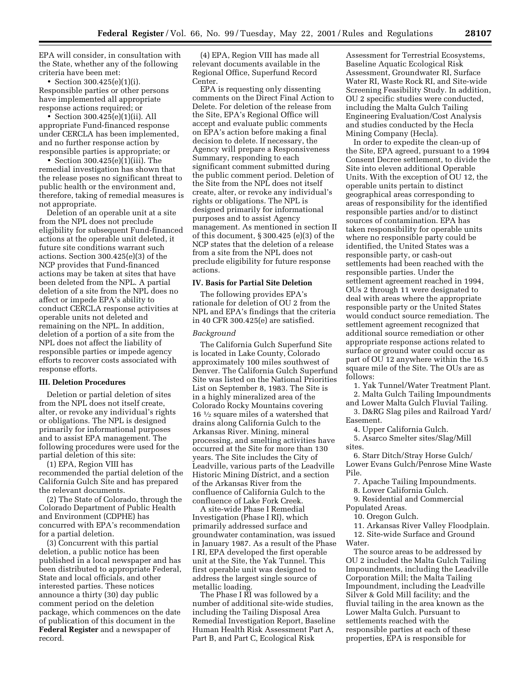EPA will consider, in consultation with the State, whether any of the following criteria have been met:

• Section 300.425(e)(1)(i). Responsible parties or other persons have implemented all appropriate response actions required; or

• Section 300.425(e)(1)(ii). All appropriate Fund-financed response under CERCLA has been implemented, and no further response action by responsible parties is appropriate; or

• Section 300.425(e)(1)(iii). The remedial investigation has shown that the release poses no significant threat to public health or the environment and, therefore, taking of remedial measures is not appropriate.

Deletion of an operable unit at a site from the NPL does not preclude eligibility for subsequent Fund-financed actions at the operable unit deleted, it future site conditions warrant such actions. Section 300.425(e)(3) of the NCP provides that Fund-financed actions may be taken at sites that have been deleted from the NPL. A partial deletion of a site from the NPL does no affect or impede EPA's ability to conduct CERCLA response activities at operable units not deleted and remaining on the NPL. In addition, deletion of a portion of a site from the NPL does not affect the liability of responsible parties or impede agency efforts to recover costs associated with response efforts.

## **III. Deletion Procedures**

Deletion or partial deletion of sites from the NPL does not itself create, alter, or revoke any individual's rights or obligations. The NPL is designed primarily for informational purposes and to assist EPA management. The following procedures were used for the partial deletion of this site:

(1) EPA, Region VIII has recommended the partial deletion of the California Gulch Site and has prepared the relevant documents.

(2) The State of Colorado, through the Colorado Department of Public Health and Environment (CDPHE) has concurred with EPA's recommendation for a partial deletion.

(3) Concurrent with this partial deletion, a public notice has been published in a local newspaper and has been distributed to appropriate Federal, State and local officials, and other interested parties. These notices announce a thirty (30) day public comment period on the deletion package, which commences on the date of publication of this document in the **Federal Register** and a newspaper of record.

(4) EPA, Region VIII has made all relevant documents available in the Regional Office, Superfund Record Center.

EPA is requesting only dissenting comments on the Direct Final Action to Delete. For deletion of the release from the Site, EPA's Regional Office will accept and evaluate public comments on EPA's action before making a final decision to delete. If necessary, the Agency will prepare a Responsiveness Summary, responding to each significant comment submitted during the public comment period. Deletion of the Site from the NPL does not itself create, alter, or revoke any individual's rights or obligations. The NPL is designed primarily for informational purposes and to assist Agency management. As mentioned in section II of this document, § 300.425 (e)(3) of the NCP states that the deletion of a release from a site from the NPL does not preclude eligibility for future response actions.

### **IV. Basis for Partial Site Deletion**

The following provides EPA's rationale for deletion of OU 2 from the NPL and EPA's findings that the criteria in 40 CFR 300.425(e) are satisfied.

## *Background*

The California Gulch Superfund Site is located in Lake County, Colorado approximately 100 miles southwest of Denver. The California Gulch Superfund Site was listed on the National Priorities List on September 8, 1983. The Site is in a highly mineralized area of the Colorado Rocky Mountains covering 16 1⁄2 square miles of a watershed that drains along California Gulch to the Arkansas River. Mining, mineral processing, and smelting activities have occurred at the Site for more than 130 years. The Site includes the City of Leadville, various parts of the Leadville Historic Mining District, and a section of the Arkansas River from the confluence of California Gulch to the confluence of Lake Fork Creek.

A site-wide Phase I Remedial Investigation (Phase I RI), which primarily addressed surface and groundwater contamination, was issued in January 1987. As a result of the Phase I RI, EPA developed the first operable unit at the Site, the Yak Tunnel. This first operable unit was designed to address the largest single source of metallic loading.

The Phase I RI was followed by a number of additional site-wide studies, including the Tailing Disposal Area Remedial Investigation Report, Baseline Human Health Risk Assessment Part A, Part B, and Part C, Ecological Risk

Assessment for Terrestrial Ecosystems, Baseline Aquatic Ecological Risk Assessment, Groundwater RI, Surface Water RI, Waste Rock RI, and Site-wide Screening Feasibility Study. In addition, OU 2 specific studies were conducted, including the Malta Gulch Tailing Engineering Evaluation/Cost Analysis and studies conducted by the Hecla Mining Company (Hecla).

In order to expedite the clean-up of the Site, EPA agreed, pursuant to a 1994 Consent Decree settlement, to divide the Site into eleven additional Operable Units. With the exception of OU 12, the operable units pertain to distinct geographical areas corresponding to areas of responsibility for the identified responsible parties and/or to distinct sources of contamination. EPA has taken responsibility for operable units where no responsible party could be identified, the United States was a responsible party, or cash-out settlements had been reached with the responsible parties. Under the settlement agreement reached in 1994, OUs 2 through 11 were designated to deal with areas where the appropriate responsible party or the United States would conduct source remediation. The settlement agreement recognized that additional source remediation or other appropriate response actions related to surface or ground water could occur as part of OU 12 anywhere within the 16.5 square mile of the Site. The OUs are as follows:

1. Yak Tunnel/Water Treatment Plant.

2. Malta Gulch Tailing Impoundments

and Lower Malta Gulch Fluvial Tailing. 3. D&RG Slag piles and Railroad Yard/ Easement.

4. Upper California Gulch.

5. Asarco Smelter sites/Slag/Mill sites.

6. Starr Ditch/Stray Horse Gulch/ Lower Evans Gulch/Penrose Mine Waste Pile.

7. Apache Tailing Impoundments.

8. Lower California Gulch.

9. Residential and Commercial

Populated Areas.

10. Oregon Gulch.

11. Arkansas River Valley Floodplain.

12. Site-wide Surface and Ground Water.

The source areas to be addressed by OU 2 included the Malta Gulch Tailing Impoundments, including the Leadville Corporation Mill; the Malta Tailing Impoundment, including the Leadville Silver & Gold Mill facility; and the fluvial tailing in the area known as the Lower Malta Gulch. Pursuant to settlements reached with the responsible parties at each of these properties, EPA is responsible for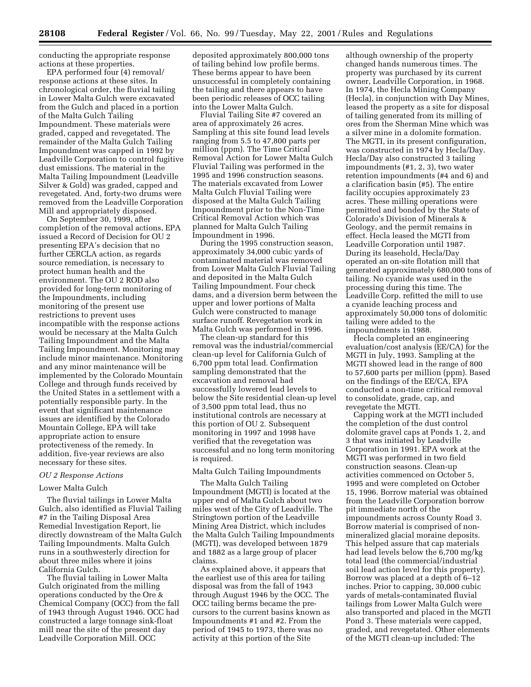conducting the appropriate response actions at these properties.

EPA performed four (4) removal/ response actions at these sites. In chronological order, the fluvial tailing in Lower Malta Gulch were excavated from the Gulch and placed in a portion of the Malta Gulch Tailing Impoundment. These materials were graded, capped and revegetated. The remainder of the Malta Gulch Tailing Impoundment was capped in 1992 by Leadville Corporation to control fugitive dust emissions. The material in the Malta Tailing Impoundment (Leadville Silver & Gold) was graded, capped and revegetated. And, forty-two drums were removed from the Leadville Corporation Mill and appropriately disposed.

On September 30, 1999, after completion of the removal actions, EPA issued a Record of Decision for OU 2 presenting EPA's decision that no further CERCLA action, as regards source remediation, is necessary to protect human health and the environment. The OU 2 ROD also provided for long-term monitoring of the Impoundments, including monitoring of the present use restrictions to prevent uses incompatible with the response actions would be necessary at the Malta Gulch Tailing Impoundment and the Malta Tailing Impoundment. Monitoring may include minor maintenance. Monitoring and any minor maintenance will be implemented by the Colorado Mountain College and through funds received by the United States in a settlement with a potentially responsible party. In the event that significant maintenance issues are identified by the Colorado Mountain College, EPA will take appropriate action to ensure protectiveness of the remedy. In addition, five-year reviews are also necessary for these sites.

## *OU 2 Response Actions*

## Lower Malta Gulch

The fluvial tailings in Lower Malta Gulch, also identified as Fluvial Tailing #7 in the Tailing Disposal Area Remedial Investigation Report, lie directly downstream of the Malta Gulch Tailing Impoundments. Malta Gulch runs in a southwesterly direction for about three miles where it joins California Gulch.

The fluvial tailing in Lower Malta Gulch originated from the milling operations conducted by the Ore & Chemical Company (OCC) from the fall of 1943 through August 1946. OCC had constructed a large tonnage sink-float mill near the site of the present day Leadville Corporation Mill. OCC

deposited approximately 800,000 tons of tailing behind low profile berms. These berms appear to have been unsuccessful in completely containing the tailing and there appears to have been periodic releases of OCC tailing into the Lower Malta Gulch.

Fluvial Tailing Site #7 covered an area of approximately 26 acres. Sampling at this site found lead levels ranging from 5.5 to 47,800 parts per million (ppm). The Time Critical Removal Action for Lower Malta Gulch Fluvial Tailing was performed in the 1995 and 1996 construction seasons. The materials excavated from Lower Malta Gulch Fluvial Tailing were disposed at the Malta Gulch Tailing Impoundment prior to the Non-Time Critical Removal Action which was planned for Malta Gulch Tailing Impoundment in 1996.

During the 1995 construction season, approximately 34,000 cubic yards of contaminated material was removed from Lower Malta Gulch Fluvial Tailing and deposited in the Malta Gulch Tailing Impoundment. Four check dams, and a diversion berm between the upper and lower portions of Malta Gulch were constructed to manage surface runoff. Revegetation work in Malta Gulch was performed in 1996.

The clean-up standard for this removal was the industrial/commercial clean-up level for California Gulch of 6,700 ppm total lead. Confirmation sampling demonstrated that the excavation and removal had successfully lowered lead levels to below the Site residential clean-up level of 3,500 ppm total lead, thus no institutional controls are necessary at this portion of OU 2. Subsequent monitoring in 1997 and 1998 have verified that the revegetation was successful and no long term monitoring is required.

## Malta Gulch Tailing Impoundments

The Malta Gulch Tailing Impoundment (MGTI) is located at the upper end of Malta Gulch about two miles west of the City of Leadville. The Stringtown portion of the Leadville Mining Area District, which includes the Malta Gulch Tailing Impoundments (MGTI), was developed between 1879 and 1882 as a large group of placer claims.

As explained above, it appears that the earliest use of this area for tailing disposal was from the fall of 1943 through August 1946 by the OCC. The OCC tailing berms became the precursors to the current basins known as Impoundments #1 and #2. From the period of 1945 to 1973, there was no activity at this portion of the Site

although ownership of the property changed hands numerous times. The property was purchased by its current owner, Leadville Corporation, in 1968. In 1974, the Hecla Mining Company (Hecla), in conjunction with Day Mines, leased the property as a site for disposal of tailing generated from its milling of ores from the Sherman Mine which was a silver mine in a dolomite formation. The MGTI, in its present configuration, was constructed in 1974 by Hecla/Day. Hecla/Day also constructed 3 tailing impoundments (#1, 2, 3), two water retention impoundments (#4 and 6) and a clarification basin (#5). The entire facility occupies approximately 23 acres. These milling operations were permitted and bonded by the State of Colorado's Division of Minerals & Geology, and the permit remains in effect. Hecla leased the MGTI from Leadville Corporation until 1987. During its leasehold, Hecla/Day operated an on-site flotation mill that generated approximately 680,000 tons of tailing. No cyanide was used in the processing during this time. The Leadville Corp. refitted the mill to use a cyanide leaching process and approximately 50,000 tons of dolomitic tailing were added to the impoundments in 1988.

Hecla completed an engineering evaluation/cost analysis (EE/CA) for the MGTI in July, 1993. Sampling at the MGTI showed lead in the range of 800 to 57,600 parts per million (ppm). Based on the findings of the EE/CA, EPA conducted a non-time critical removal to consolidate, grade, cap, and revegetate the MGTI.

Capping work at the MGTI included the completion of the dust control dolomite gravel caps at Ponds 1, 2, and 3 that was initiated by Leadville Corporation in 1991. EPA work at the MGTI was performed in two field construction seasons. Clean-up activities commenced on October 5, 1995 and were completed on October 15, 1996. Borrow material was obtained from the Leadville Corporation borrow pit immediate north of the impoundments across County Road 3. Borrow material is comprised of nonmineralized glacial moraine deposits. This helped assure that cap materials had lead levels below the 6,700 mg/kg total lead (the commercial/industrial soil lead action level for this property). Borrow was placed at a depth of 6–12 inches. Prior to capping, 30,000 cubic yards of metals-contaminated fluvial tailings from Lower Malta Gulch were also transported and placed in the MGTI Pond 3. These materials were capped, graded, and revegetated. Other elements of the MGTI clean-up included: The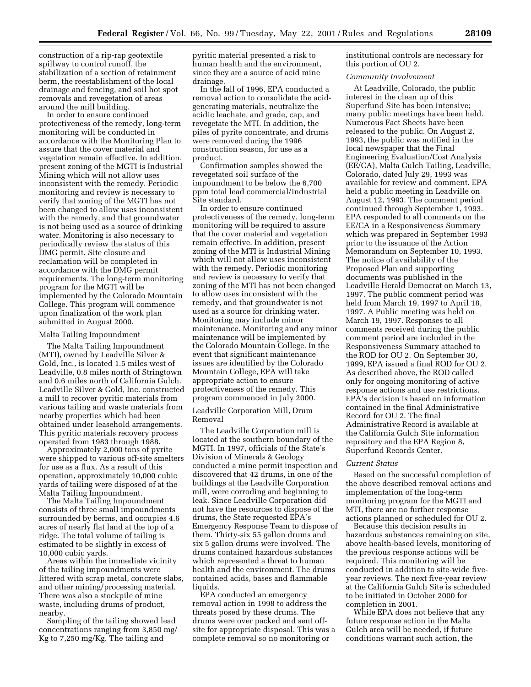construction of a rip-rap geotextile spillway to control runoff, the stabilization of a section of retainment berm, the reestablishment of the local drainage and fencing, and soil hot spot removals and revegetation of areas around the mill building.

In order to ensure continued protectiveness of the remedy, long-term monitoring will be conducted in accordance with the Monitoring Plan to assure that the cover material and vegetation remain effective. In addition, present zoning of the MGTI is Industrial Mining which will not allow uses inconsistent with the remedy. Periodic monitoring and review is necessary to verify that zoning of the MGTI has not been changed to allow uses inconsistent with the remedy, and that groundwater is not being used as a source of drinking water. Monitoring is also necessary to periodically review the status of this DMG permit. Site closure and reclamation will be completed in accordance with the DMG permit requirements. The long-term monitoring program for the MGTI will be implemented by the Colorado Mountain College. This program will commence upon finalization of the work plan submitted in August 2000.

#### Malta Tailing Impoundment

The Malta Tailing Impoundment (MTI), owned by Leadville Silver & Gold, Inc., is located 1.5 miles west of Leadville, 0.8 miles north of Stringtown and 0.6 miles north of California Gulch. Leadville Silver & Gold, Inc. constructed a mill to recover pyritic materials from various tailing and waste materials from nearby properties which had been obtained under leasehold arrangements. This pyritic materials recovery process operated from 1983 through 1988.

Approximately 2,000 tons of pyrite were shipped to various off-site smelters for use as a flux. As a result of this operation, approximately 10,000 cubic yards of tailing were disposed of at the Malta Tailing Impoundment.

The Malta Tailing Impoundment consists of three small impoundments surrounded by berms, and occupies 4.6 acres of nearly flat land at the top of a ridge. The total volume of tailing is estimated to be slightly in excess of 10,000 cubic yards.

Areas within the immediate vicinity of the tailing impoundments were littered with scrap metal, concrete slabs, and other mining/processing material. There was also a stockpile of mine waste, including drums of product, nearby.

Sampling of the tailing showed lead concentrations ranging from 3,850 mg/ Kg to 7,250 mg/Kg. The tailing and

pyritic material presented a risk to human health and the environment, since they are a source of acid mine drainage.

In the fall of 1996, EPA conducted a removal action to consolidate the acidgenerating materials, neutralize the acidic leachate, and grade, cap, and revegetate the MTI. In addition, the piles of pyrite concentrate, and drums were removed during the 1996 construction season, for use as a product.

Confirmation samples showed the revegetated soil surface of the impoundment to be below the 6,700 ppm total lead commercial/industrial Site standard.

In order to ensure continued protectiveness of the remedy, long-term monitoring will be required to assure that the cover material and vegetation remain effective. In addition, present zoning of the MTI is Industrial Mining which will not allow uses inconsistent with the remedy. Periodic monitoring and review is necessary to verify that zoning of the MTI has not been changed to allow uses inconsistent with the remedy, and that groundwater is not used as a source for drinking water. Monitoring may include minor maintenance. Monitoring and any minor maintenance will be implemented by the Colorado Mountain College. In the event that significant maintenance issues are identified by the Colorado Mountain College, EPA will take appropriate action to ensure protectiveness of the remedy. This program commenced in July 2000.

Leadville Corporation Mill, Drum Removal

The Leadville Corporation mill is located at the southern boundary of the MGTI. In 1997, officials of the State's Division of Minerals & Geology conducted a mine permit inspection and discovered that 42 drums, in one of the buildings at the Leadville Corporation mill, were corroding and beginning to leak. Since Leadville Corporation did not have the resources to dispose of the drums, the State requested EPA's Emergency Response Team to dispose of them. Thirty-six 55 gallon drums and six 5 gallon drums were involved. The drums contained hazardous substances which represented a threat to human health and the environment. The drums contained acids, bases and flammable liquids.

EPA conducted an emergency removal action in 1998 to address the threats posed by these drums. The drums were over packed and sent offsite for appropriate disposal. This was a complete removal so no monitoring or

institutional controls are necessary for this portion of OU 2.

#### *Community Involvement*

At Leadville, Colorado, the public interest in the clean up of this Superfund Site has been intensive; many public meetings have been held. Numerous Fact Sheets have been released to the public. On August 2, 1993, the public was notified in the local newspaper that the Final Engineering Evaluation/Cost Analysis (EE/CA), Malta Gulch Tailing, Leadville, Colorado, dated July 29, 1993 was available for review and comment. EPA held a public meeting in Leadville on August 12, 1993. The comment period continued through September 1, 1993. EPA responded to all comments on the EE/CA in a Responsiveness Summary which was prepared in September 1993 prior to the issuance of the Action Memorandum on September 10, 1993. The notice of availability of the Proposed Plan and supporting documents was published in the Leadville Herald Democrat on March 13, 1997. The public comment period was held from March 19, 1997 to April 18, 1997. A Public meeting was held on March 19, 1997. Responses to all comments received during the public comment period are included in the Responsiveness Summary attached to the ROD for OU 2. On September 30, 1999, EPA issued a final ROD for OU 2. As described above, the ROD called only for ongoing monitoring of active response actions and use restrictions. EPA's decision is based on information contained in the final Administrative Record for OU 2. The final Administrative Record is available at the California Gulch Site information repository and the EPA Region 8, Superfund Records Center.

#### *Current Status*

Based on the successful completion of the above described removal actions and implementation of the long-term monitoring program for the MGTI and MTI, there are no further response actions planned or scheduled for OU 2.

Because this decision results in hazardous substances remaining on site, above health-based levels, monitoring of the previous response actions will be required. This monitoring will be conducted in addition to site-wide fiveyear reviews. The next five-year review at the California Gulch Site is scheduled to be initiated in October 2000 for completion in 2001.

While EPA does not believe that any future response action in the Malta Gulch area will be needed, if future conditions warrant such action, the